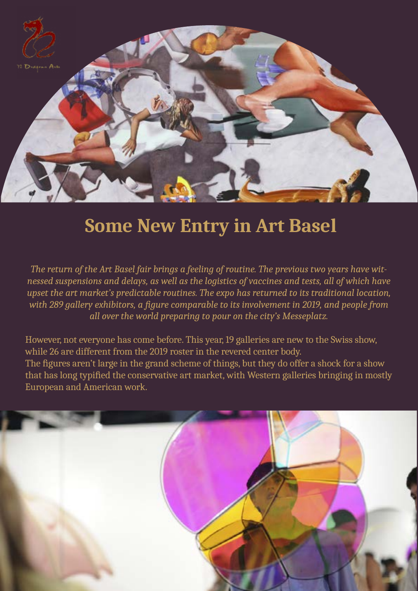

## **Some New Entry in Art Basel**

*The return of the Art Basel fair brings a feeling of routine. The previous two years have witnessed suspensions and delays, as well as the logistics of vaccines and tests, all of which have upset the art market's predictable routines. The expo has returned to its traditional location, with 289 gallery exhibitors, a figure comparable to its involvement in 2019, and people from all over the world preparing to pour on the city's Messeplatz.* 

However, not everyone has come before. This year, 19 galleries are new to the Swiss show, while 26 are different from the 2019 roster in the revered center body. The figures aren't large in the grand scheme of things, but they do offer a shock for a show that has long typified the conservative art market, with Western galleries bringing in mostly European and American work.

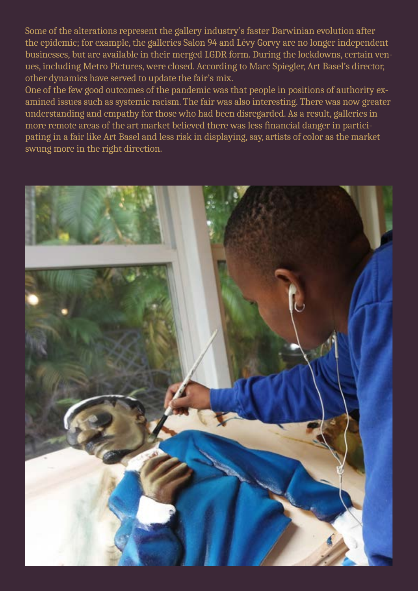Some of the alterations represent the gallery industry's faster Darwinian evolution after the epidemic; for example, the galleries Salon 94 and Lévy Gorvy are no longer independent businesses, but are available in their merged LGDR form. During the lockdowns, certain venues, including Metro Pictures, were closed. According to Marc Spiegler, Art Basel's director, other dynamics have served to update the fair's mix.

One of the few good outcomes of the pandemic was that people in positions of authority examined issues such as systemic racism. The fair was also interesting. There was now greater understanding and empathy for those who had been disregarded. As a result, galleries in more remote areas of the art market believed there was less financial danger in participating in a fair like Art Basel and less risk in displaying, say, artists of color as the market swung more in the right direction.